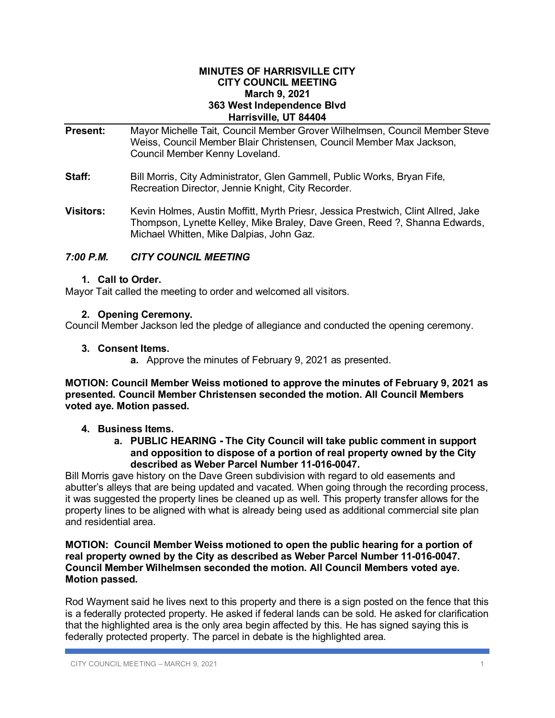#### **MINUTES OF HARRISVILLE CITY CITY COUNCIL MEETING March 9, 2021 363 West Independence Blvd Harrisville, UT 84404**

- **Present:** Mayor Michelle Tait, Council Member Grover Wilhelmsen, Council Member Steve Weiss, Council Member Blair Christensen, Council Member Max Jackson, Council Member Kenny Loveland. **Staff:** Bill Morris, City Administrator, Glen Gammell, Public Works, Bryan Fife, Recreation Director, Jennie Knight, City Recorder. **Visitors:** Kevin Holmes, Austin Moffitt, Myrth Priesr, Jessica Prestwich, Clint Allred, Jake
- Thompson, Lynette Kelley, Mike Braley, Dave Green, Reed ?, Shanna Edwards, Michael Whitten, Mike Dalpias, John Gaz.

# *7:00 P.M. CITY COUNCIL MEETING*

# **1. Call to Order.**

Mayor Tait called the meeting to order and welcomed all visitors.

## **2. Opening Ceremony.**

Council Member Jackson led the pledge of allegiance and conducted the opening ceremony.

## **3. Consent Items.**

**a.** Approve the minutes of February 9, 2021 as presented.

**MOTION: Council Member Weiss motioned to approve the minutes of February 9, 2021 as presented. Council Member Christensen seconded the motion. All Council Members voted aye. Motion passed.**

# **4. Business Items.**

**a. PUBLIC HEARING - The City Council will take public comment in support and opposition to dispose of a portion of real property owned by the City described as Weber Parcel Number 11-016-0047.**

Bill Morris gave history on the Dave Green subdivision with regard to old easements and abutter's alleys that are being updated and vacated. When going through the recording process, it was suggested the property lines be cleaned up as well. This property transfer allows for the property lines to be aligned with what is already being used as additional commercial site plan and residential area.

## **MOTION: Council Member Weiss motioned to open the public hearing for a portion of real property owned by the City as described as Weber Parcel Number 11-016-0047. Council Member Wilhelmsen seconded the motion. All Council Members voted aye. Motion passed.**

Rod Wayment said he lives next to this property and there is a sign posted on the fence that this is a federally protected property. He asked if federal lands can be sold. He asked for clarification that the highlighted area is the only area begin affected by this. He has signed saying this is federally protected property. The parcel in debate is the highlighted area.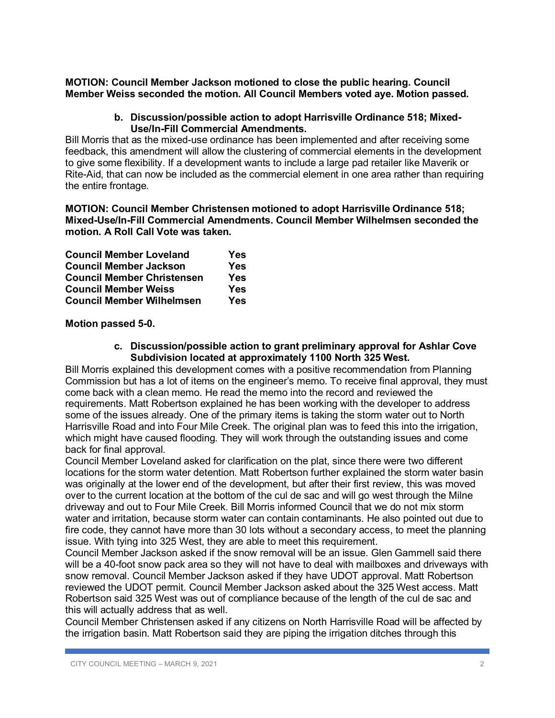**MOTION: Council Member Jackson motioned to close the public hearing. Council Member Weiss seconded the motion. All Council Members voted aye. Motion passed.**

#### **b. Discussion/possible action to adopt Harrisville Ordinance 518; Mixed-Use/In-Fill Commercial Amendments.**

Bill Morris that as the mixed-use ordinance has been implemented and after receiving some feedback, this amendment will allow the clustering of commercial elements in the development to give some flexibility. If a development wants to include a large pad retailer like Maverik or Rite-Aid, that can now be included as the commercial element in one area rather than requiring the entire frontage.

## **MOTION: Council Member Christensen motioned to adopt Harrisville Ordinance 518; Mixed-Use/In-Fill Commercial Amendments. Council Member Wilhelmsen seconded the motion. A Roll Call Vote was taken.**

| <b>Council Member Loveland</b>    | Yes |
|-----------------------------------|-----|
| <b>Council Member Jackson</b>     | Yes |
| <b>Council Member Christensen</b> | Yes |
| <b>Council Member Weiss</b>       | Yes |
| <b>Council Member Wilhelmsen</b>  | Yes |

# **Motion passed 5-0.**

**c. Discussion/possible action to grant preliminary approval for Ashlar Cove Subdivision located at approximately 1100 North 325 West.**

Bill Morris explained this development comes with a positive recommendation from Planning Commission but has a lot of items on the engineer's memo. To receive final approval, they must come back with a clean memo. He read the memo into the record and reviewed the requirements. Matt Robertson explained he has been working with the developer to address some of the issues already. One of the primary items is taking the storm water out to North Harrisville Road and into Four Mile Creek. The original plan was to feed this into the irrigation, which might have caused flooding. They will work through the outstanding issues and come back for final approval.

Council Member Loveland asked for clarification on the plat, since there were two different locations for the storm water detention. Matt Robertson further explained the storm water basin was originally at the lower end of the development, but after their first review, this was moved over to the current location at the bottom of the cul de sac and will go west through the Milne driveway and out to Four Mile Creek. Bill Morris informed Council that we do not mix storm water and irritation, because storm water can contain contaminants. He also pointed out due to fire code, they cannot have more than 30 lots without a secondary access, to meet the planning issue. With tying into 325 West, they are able to meet this requirement.

Council Member Jackson asked if the snow removal will be an issue. Glen Gammell said there will be a 40-foot snow pack area so they will not have to deal with mailboxes and driveways with snow removal. Council Member Jackson asked if they have UDOT approval. Matt Robertson reviewed the UDOT permit. Council Member Jackson asked about the 325 West access. Matt Robertson said 325 West was out of compliance because of the length of the cul de sac and this will actually address that as well.

Council Member Christensen asked if any citizens on North Harrisville Road will be affected by the irrigation basin. Matt Robertson said they are piping the irrigation ditches through this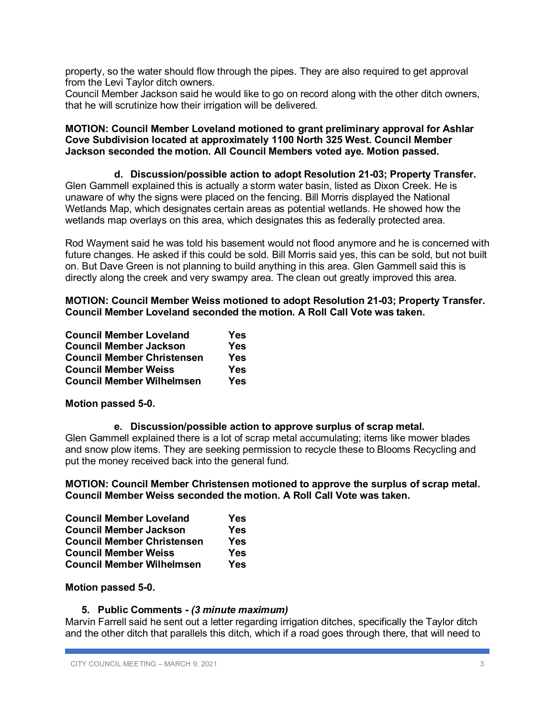property, so the water should flow through the pipes. They are also required to get approval from the Levi Taylor ditch owners.

Council Member Jackson said he would like to go on record along with the other ditch owners, that he will scrutinize how their irrigation will be delivered.

## **MOTION: Council Member Loveland motioned to grant preliminary approval for Ashlar Cove Subdivision located at approximately 1100 North 325 West. Council Member Jackson seconded the motion. All Council Members voted aye. Motion passed.**

#### **d. Discussion/possible action to adopt Resolution 21-03; Property Transfer.** Glen Gammell explained this is actually a storm water basin, listed as Dixon Creek. He is unaware of why the signs were placed on the fencing. Bill Morris displayed the National Wetlands Map, which designates certain areas as potential wetlands. He showed how the wetlands map overlays on this area, which designates this as federally protected area.

Rod Wayment said he was told his basement would not flood anymore and he is concerned with future changes. He asked if this could be sold. Bill Morris said yes, this can be sold, but not built on. But Dave Green is not planning to build anything in this area. Glen Gammell said this is directly along the creek and very swampy area. The clean out greatly improved this area.

# **MOTION: Council Member Weiss motioned to adopt Resolution 21-03; Property Transfer. Council Member Loveland seconded the motion. A Roll Call Vote was taken.**

| <b>Council Member Loveland</b>    | Yes |
|-----------------------------------|-----|
| <b>Council Member Jackson</b>     | Yes |
| <b>Council Member Christensen</b> | Yes |
| <b>Council Member Weiss</b>       | Yes |
| <b>Council Member Wilhelmsen</b>  | Yes |

# **Motion passed 5-0.**

# **e. Discussion/possible action to approve surplus of scrap metal.**

Glen Gammell explained there is a lot of scrap metal accumulating; items like mower blades and snow plow items. They are seeking permission to recycle these to Blooms Recycling and put the money received back into the general fund.

**MOTION: Council Member Christensen motioned to approve the surplus of scrap metal. Council Member Weiss seconded the motion. A Roll Call Vote was taken.**

| <b>Council Member Loveland</b>    | Yes |
|-----------------------------------|-----|
| <b>Council Member Jackson</b>     | Yes |
| <b>Council Member Christensen</b> | Yes |
| <b>Council Member Weiss</b>       | Yes |
| <b>Council Member Wilhelmsen</b>  | Yes |

# **Motion passed 5-0.**

# **5. Public Comments -** *(3 minute maximum)*

Marvin Farrell said he sent out a letter regarding irrigation ditches, specifically the Taylor ditch and the other ditch that parallels this ditch, which if a road goes through there, that will need to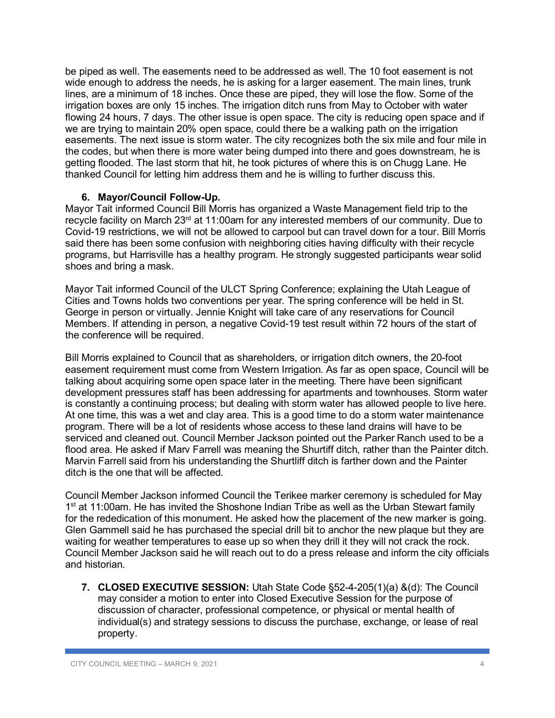be piped as well. The easements need to be addressed as well. The 10 foot easement is not wide enough to address the needs, he is asking for a larger easement. The main lines, trunk lines, are a minimum of 18 inches. Once these are piped, they will lose the flow. Some of the irrigation boxes are only 15 inches. The irrigation ditch runs from May to October with water flowing 24 hours, 7 days. The other issue is open space. The city is reducing open space and if we are trying to maintain 20% open space, could there be a walking path on the irrigation easements. The next issue is storm water. The city recognizes both the six mile and four mile in the codes, but when there is more water being dumped into there and goes downstream, he is getting flooded. The last storm that hit, he took pictures of where this is on Chugg Lane. He thanked Council for letting him address them and he is willing to further discuss this.

# **6. Mayor/Council Follow-Up.**

Mayor Tait informed Council Bill Morris has organized a Waste Management field trip to the recycle facility on March 23rd at 11:00am for any interested members of our community. Due to Covid-19 restrictions, we will not be allowed to carpool but can travel down for a tour. Bill Morris said there has been some confusion with neighboring cities having difficulty with their recycle programs, but Harrisville has a healthy program. He strongly suggested participants wear solid shoes and bring a mask.

Mayor Tait informed Council of the ULCT Spring Conference; explaining the Utah League of Cities and Towns holds two conventions per year. The spring conference will be held in St. George in person or virtually. Jennie Knight will take care of any reservations for Council Members. If attending in person, a negative Covid-19 test result within 72 hours of the start of the conference will be required.

Bill Morris explained to Council that as shareholders, or irrigation ditch owners, the 20-foot easement requirement must come from Western Irrigation. As far as open space, Council will be talking about acquiring some open space later in the meeting. There have been significant development pressures staff has been addressing for apartments and townhouses. Storm water is constantly a continuing process; but dealing with storm water has allowed people to live here. At one time, this was a wet and clay area. This is a good time to do a storm water maintenance program. There will be a lot of residents whose access to these land drains will have to be serviced and cleaned out. Council Member Jackson pointed out the Parker Ranch used to be a flood area. He asked if Marv Farrell was meaning the Shurtiff ditch, rather than the Painter ditch. Marvin Farrell said from his understanding the Shurtliff ditch is farther down and the Painter ditch is the one that will be affected.

Council Member Jackson informed Council the Terikee marker ceremony is scheduled for May 1<sup>st</sup> at 11:00am. He has invited the Shoshone Indian Tribe as well as the Urban Stewart family for the rededication of this monument. He asked how the placement of the new marker is going. Glen Gammell said he has purchased the special drill bit to anchor the new plaque but they are waiting for weather temperatures to ease up so when they drill it they will not crack the rock. Council Member Jackson said he will reach out to do a press release and inform the city officials and historian.

**7. CLOSED EXECUTIVE SESSION:** Utah State Code §52-4-205(1)(a) &(d): The Council may consider a motion to enter into Closed Executive Session for the purpose of discussion of character, professional competence, or physical or mental health of individual(s) and strategy sessions to discuss the purchase, exchange, or lease of real property.